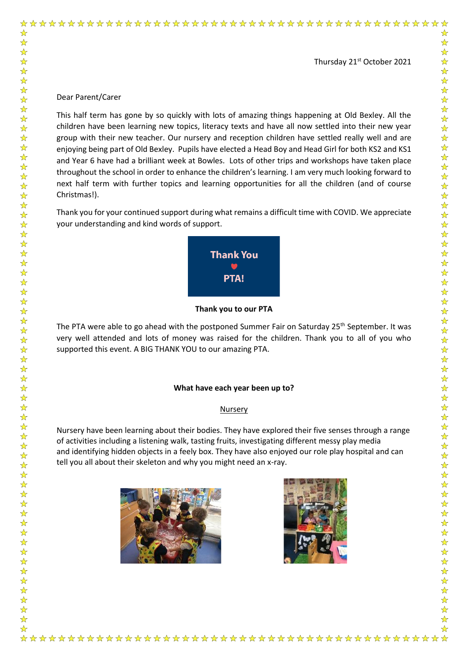### Thursday 21<sup>st</sup> October 2021

## Dear Parent/Carer

☆

 $\frac{1}{\sqrt{2}}$ 

 $\frac{1}{\sqrt{2}}$ 

54 54

 $\frac{1}{\sqrt{2}}$ 

卒 卒 卒

 $\frac{1}{\sqrt{2}}$  $\frac{1}{\sqrt{2}}$ 

动动动动

 $\frac{1}{\sqrt{2}}$  $\frac{1}{\sqrt{2}}$  $\frac{1}{\sqrt{2}}$  $\frac{1}{2}$  $\frac{\lambda}{\lambda}$  $\frac{1}{\sqrt{2}}$  $\frac{1}{2}$  $\frac{1}{\sqrt{2}}$ 

\*\*\*\*\*\*\*\*\*\*

 $\frac{1}{\sqrt{2}}$  $\frac{1}{\sqrt{2}}$ 

☆☆☆☆☆☆☆☆☆☆

 $\frac{1}{\sqrt{2}}$ 

2224

55 55 7

☆☆☆☆☆☆☆☆☆☆☆

 $\frac{1}{\sqrt{2}}$ 

 $\frac{1}{\sqrt{2}}$  $\frac{\lambda}{\lambda}$ 

This half term has gone by so quickly with lots of amazing things happening at Old Bexley. All the children have been learning new topics, literacy texts and have all now settled into their new year group with their new teacher. Our nursery and reception children have settled really well and are enjoying being part of Old Bexley. Pupils have elected a Head Boy and Head Girl for both KS2 and KS1 and Year 6 have had a brilliant week at Bowles. Lots of other trips and workshops have taken place throughout the school in order to enhance the children's learning. I am very much looking forward to next half term with further topics and learning opportunities for all the children (and of course Christmas!).

Thank you for your continued support during what remains a difficult time with COVID. We appreciate your understanding and kind words of support.



**Thank you to our PTA**

The PTA were able to go ahead with the postponed Summer Fair on Saturday 25<sup>th</sup> September. It was very well attended and lots of money was raised for the children. Thank you to all of you who supported this event. A BIG THANK YOU to our amazing PTA.

#### **What have each year been up to?**

#### Nursery

Nursery have been learning about their bodies. They have explored their five senses through a range of activities including a listening walk, tasting fruits, investigating different messy play media and identifying hidden objects in a feely box. They have also enjoyed our role play hospital and can tell you all about their skeleton and why you might need an x-ray.



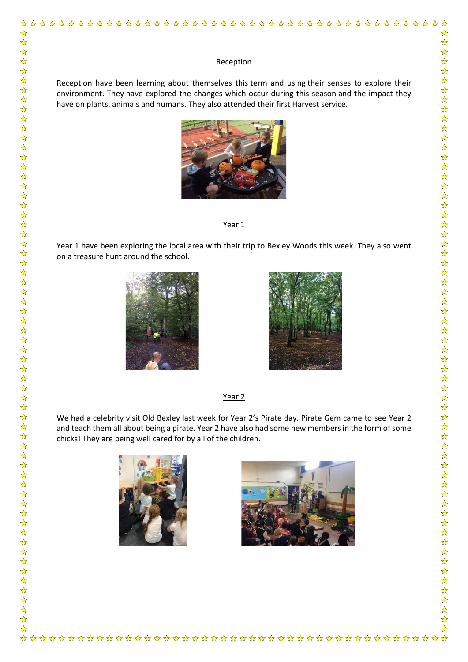Reception have been learning about themselves this term and using their senses to explore their environment. They have explored the changes which occur during this season and the impact they have on plants, animals and humans. They also attended their first Harvest service.



#### Year<sub>1</sub>

Year 1 have been exploring the local area with their trip to Bexley Woods this week. They also went on a treasure hunt around the school.



☆

2224

\*\*\*\*\*\*\*\*\*\*\*\*\*

☆☆☆☆☆☆☆☆☆☆☆☆☆☆☆☆☆☆☆☆☆☆☆

24 24 24

 $\frac{\lambda}{\lambda}$ 

冷冷冷冷冷

55年

☆☆☆☆☆☆☆☆☆☆☆

 $\frac{1}{\sqrt{2}}$ 

 $\frac{1}{\sqrt{2}}$ 



Year<sub>2</sub>

We had a celebrity visit Old Bexley last week for Year 2's Pirate day. Pirate Gem came to see Year 2 and teach them all about being a pirate. Year 2 have also had some new members in the form of some chicks! They are being well cared for by all of the children.



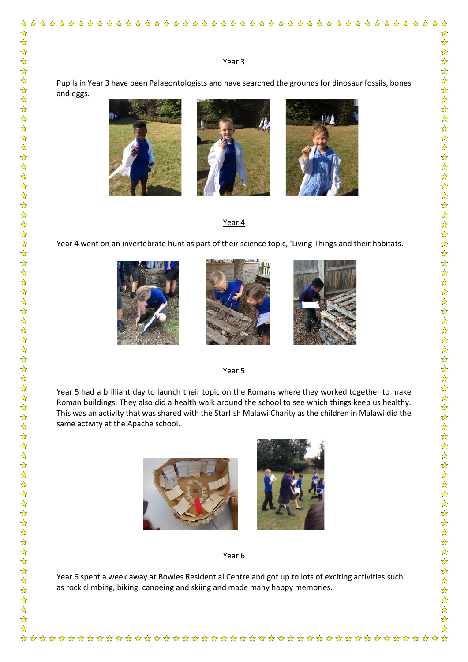Pupils in Year 3 have been Palaeontologists and have searched the grounds for dinosaur fossils, bones and eggs.



☆

 $\frac{1}{\sqrt{2}}$  $\frac{1}{\sqrt{2}}$ 

54 54 7

 $\frac{1}{\sqrt{2}}$  $\frac{1}{\sqrt{2}}$ 

华华华;

冷冷冷冷冷

 $\frac{1}{\sqrt{2}}$  $\frac{\lambda}{\lambda}$ 

华玲玲玲

 $\sum$  $\frac{1}{\sqrt{2}}$  $\frac{1}{\sqrt{2}}$  $\frac{1}{\sqrt{2}}$  $\frac{1}{\sqrt{2}}$ 

☆☆☆☆☆☆

☆☆☆☆☆☆☆

计符号符

冷冷冷冷冷

 $\frac{1}{\sqrt{2}}$  $\frac{1}{\sqrt{2}}$ 

\*\*\*\*\*\*\*\*\*\*

 $\frac{1}{\sqrt{2}}$  $\frac{1}{\sqrt{2}}$  $\frac{1}{\sqrt{2}}$ 

 $\frac{1}{\sqrt{2}}$ 





## Year 4

Year 4 went on an invertebrate hunt as part of their science topic, 'Living Things and their habitats.







## Year 5

Year 5 had a brilliant day to launch their topic on the Romans where they worked together to make Roman buildings. They also did a health walk around the school to see which things keep us healthy. This was an activity that was shared with the Starfish Malawi Charity as the children in Malawi did the same activity at the Apache school.



# Year 6

Year 6 spent a week away at Bowles Residential Centre and got up to lots of exciting activities such as rock climbing, biking, canoeing and skiing and made many happy memories.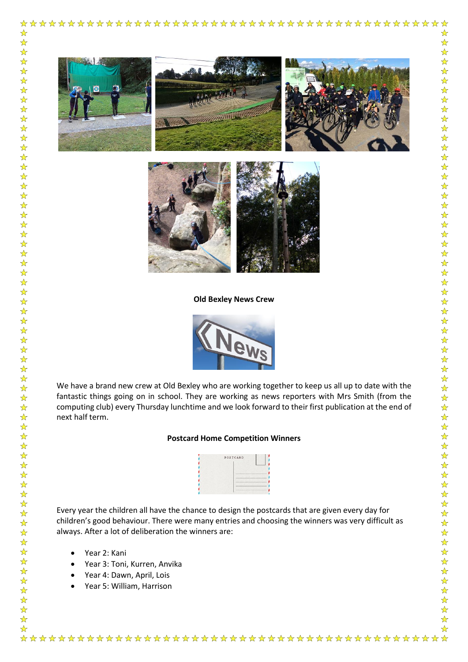

**Old Bexley News Crew**



We have a brand new crew at Old Bexley who are working together to keep us all up to date with the fantastic things going on in school. They are working as news reporters with Mrs Smith (from the computing club) every Thursday lunchtime and we look forward to their first publication at the end of next half term.

## **Postcard Home Competition Winners**



Every year the children all have the chance to design the postcards that are given every day for children's good behaviour. There were many entries and choosing the winners was very difficult as always. After a lot of deliberation the winners are:

Year 2: Kani

☆☆☆☆☆☆☆☆☆☆☆☆

 $\frac{1}{\sqrt{2}}$ 

24 24 2  $\frac{1}{2}$  $\frac{1}{2}$  $\frac{1}{2}$ 

☆☆☆☆☆

 $\frac{1}{\sqrt{2}}$  $\frac{1}{\sqrt{2}}$ 

- Year 3: Toni, Kurren, Anvika
- Year 4: Dawn, April, Lois
- Year 5: William, Harrison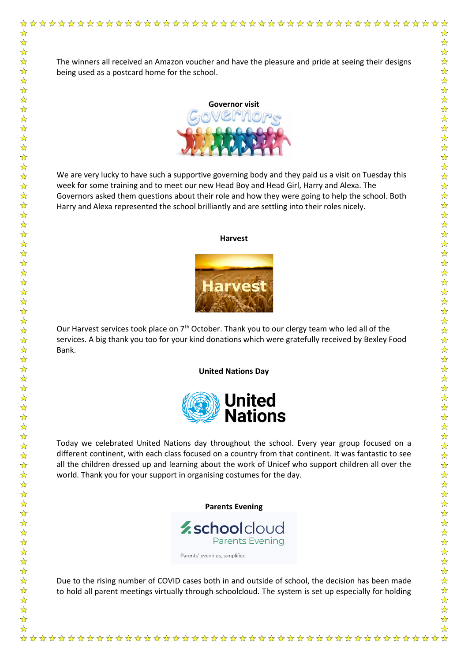$\frac{1}{\sqrt{2}}$  $\frac{1}{\sqrt{2}}$  The winners all received an Amazon voucher and have the pleasure and pride at seeing their designs being used as a postcard home for the school.



We are very lucky to have such a supportive governing body and they paid us a visit on Tuesday this week for some training and to meet our new Head Boy and Head Girl, Harry and Alexa. The Governors asked them questions about their role and how they were going to help the school. Both Harry and Alexa represented the school brilliantly and are settling into their roles nicely.

#### **Harvest**



Our Harvest services took place on 7<sup>th</sup> October. Thank you to our clergy team who led all of the services. A big thank you too for your kind donations which were gratefully received by Bexley Food

**United Nations Day**



Today we celebrated United Nations day throughout the school. Every year group focused on a different continent, with each class focused on a country from that continent. It was fantastic to see all the children dressed up and learning about the work of Unicef who support children all over the world. Thank you for your support in organising costumes for the day.

**Parents Evening**



Due to the rising number of COVID cases both in and outside of school, the decision has been made to hold all parent meetings virtually through schoolcloud. The system is set up especially for holding